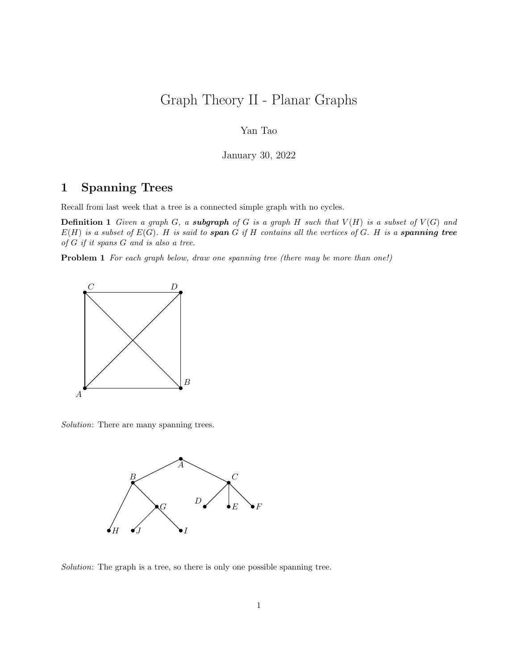# Graph Theory II - Planar Graphs

### Yan Tao

January 30, 2022

## 1 Spanning Trees

Recall from last week that a tree is a connected simple graph with no cycles.

**Definition 1** Given a graph G, a **subgraph** of G is a graph H such that  $V(H)$  is a subset of  $V(G)$  and  $E(H)$  is a subset of  $E(G)$ . H is said to span G if H contains all the vertices of G. H is a spanning tree of G if it spans G and is also a tree.

**Problem 1** For each graph below, draw one spanning tree (there may be more than one!)



Solution: There are many spanning trees.



Solution: The graph is a tree, so there is only one possible spanning tree.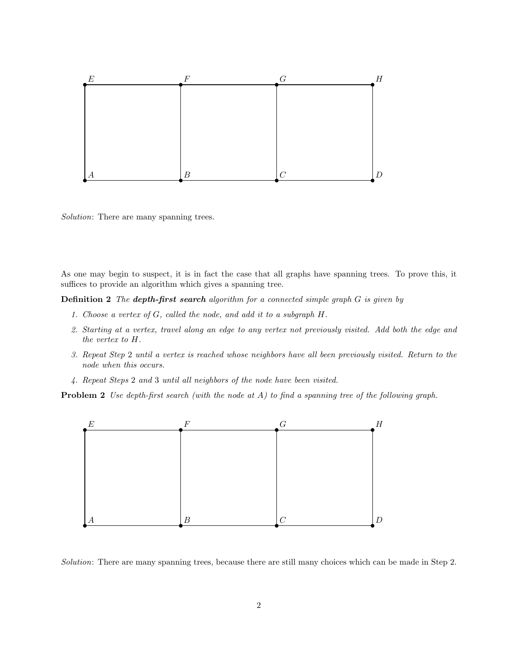

Solution: There are many spanning trees.

As one may begin to suspect, it is in fact the case that all graphs have spanning trees. To prove this, it suffices to provide an algorithm which gives a spanning tree.

**Definition 2** The **depth-first search** algorithm for a connected simple graph  $G$  is given by

- 1. Choose a vertex of G, called the node, and add it to a subgraph H.
- 2. Starting at a vertex, travel along an edge to any vertex not previously visited. Add both the edge and the vertex to H.
- 3. Repeat Step 2 until a vertex is reached whose neighbors have all been previously visited. Return to the node when this occurs.
- 4. Repeat Steps 2 and 3 until all neighbors of the node have been visited.

**Problem 2** Use depth-first search (with the node at A) to find a spanning tree of the following graph.



Solution: There are many spanning trees, because there are still many choices which can be made in Step 2.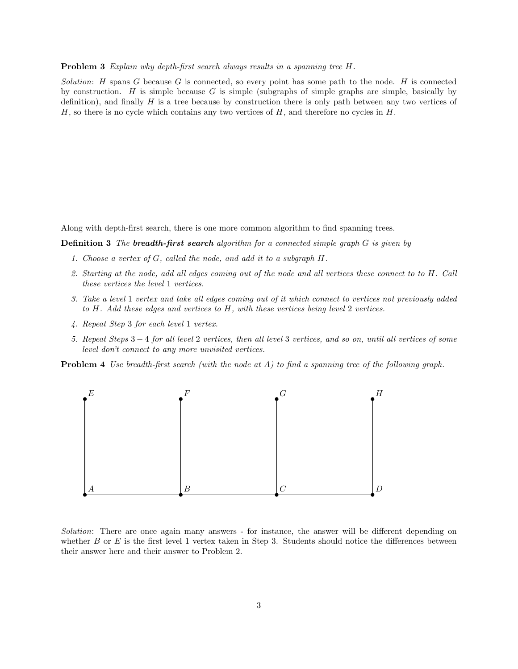#### Problem 3 Explain why depth-first search always results in a spanning tree H.

Solution: H spans G because G is connected, so every point has some path to the node. H is connected by construction. H is simple because G is simple (subgraphs of simple graphs are simple, basically by definition), and finally  $H$  is a tree because by construction there is only path between any two vertices of  $H$ , so there is no cycle which contains any two vertices of  $H$ , and therefore no cycles in  $H$ .

Along with depth-first search, there is one more common algorithm to find spanning trees.

**Definition 3** The **breadth-first search** algorithm for a connected simple graph  $G$  is given by

- 1. Choose a vertex of G, called the node, and add it to a subgraph H.
- 2. Starting at the node, add all edges coming out of the node and all vertices these connect to to H. Call these vertices the level 1 vertices.
- 3. Take a level 1 vertex and take all edges coming out of it which connect to vertices not previously added to H. Add these edges and vertices to H, with these vertices being level 2 vertices.
- 4. Repeat Step 3 for each level 1 vertex.
- 5. Repeat Steps 3 − 4 for all level 2 vertices, then all level 3 vertices, and so on, until all vertices of some level don't connect to any more unvisited vertices.

**Problem 4** Use breadth-first search (with the node at  $A$ ) to find a spanning tree of the following graph.



Solution: There are once again many answers - for instance, the answer will be different depending on whether  $B$  or  $E$  is the first level 1 vertex taken in Step 3. Students should notice the differences between their answer here and their answer to Problem 2.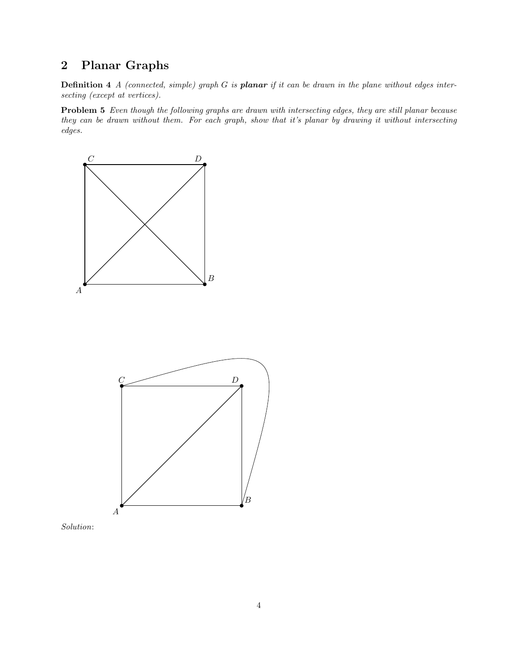## 2 Planar Graphs

**Definition 4** A (connected, simple) graph  $G$  is **planar** if it can be drawn in the plane without edges intersecting (except at vertices).

Problem 5 Even though the following graphs are drawn with intersecting edges, they are still planar because they can be drawn without them. For each graph, show that it's planar by drawing it without intersecting edges.





Solution: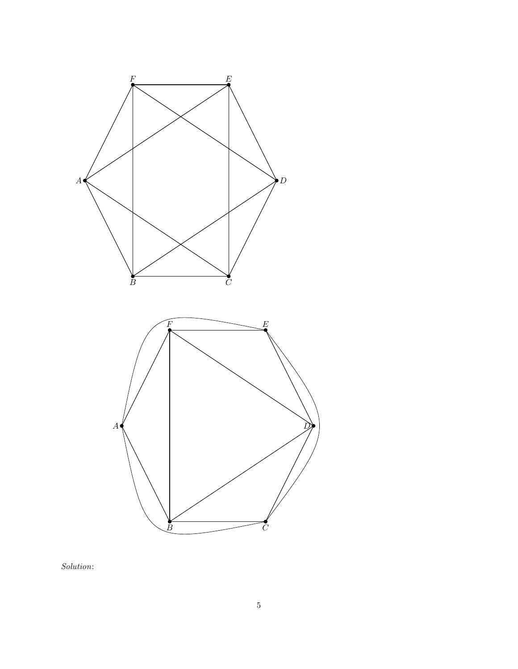

Solution: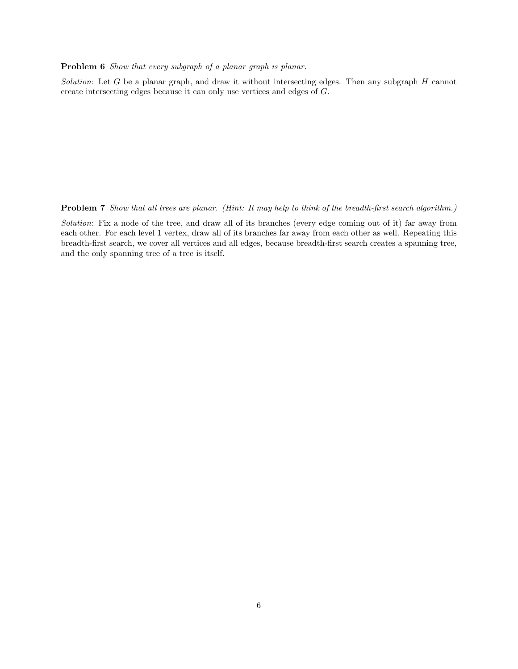Problem 6 Show that every subgraph of a planar graph is planar.

Solution: Let G be a planar graph, and draw it without intersecting edges. Then any subgraph  $H$  cannot create intersecting edges because it can only use vertices and edges of G.

Problem 7 Show that all trees are planar. (Hint: It may help to think of the breadth-first search algorithm.)

Solution: Fix a node of the tree, and draw all of its branches (every edge coming out of it) far away from each other. For each level 1 vertex, draw all of its branches far away from each other as well. Repeating this breadth-first search, we cover all vertices and all edges, because breadth-first search creates a spanning tree, and the only spanning tree of a tree is itself.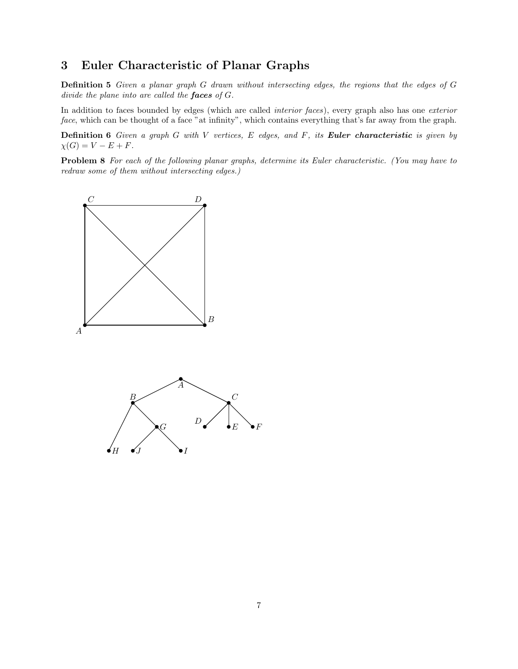## 3 Euler Characteristic of Planar Graphs

Definition 5 Given a planar graph G drawn without intersecting edges, the regions that the edges of G divide the plane into are called the faces of G.

In addition to faces bounded by edges (which are called *interior faces*), every graph also has one *exterior* face, which can be thought of a face "at infinity", which contains everything that's far away from the graph.

**Definition 6** Given a graph G with V vertices, E edges, and F, its **Euler characteristic** is given by  $\chi(G) = V - E + F.$ 

Problem 8 For each of the following planar graphs, determine its Euler characteristic. (You may have to redraw some of them without intersecting edges.)

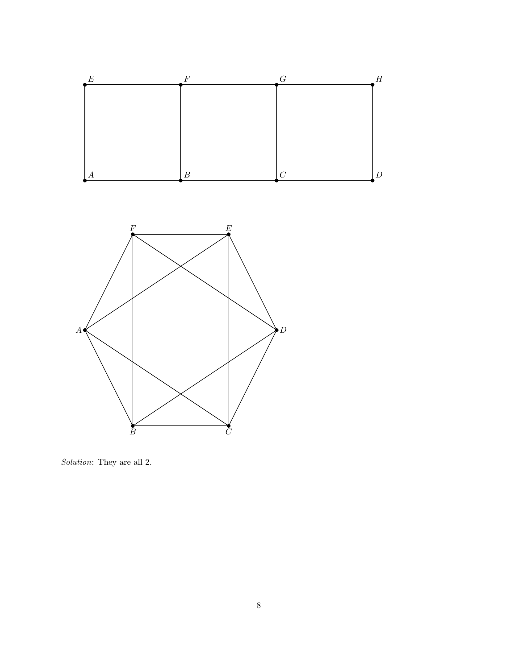

Solution: They are all 2.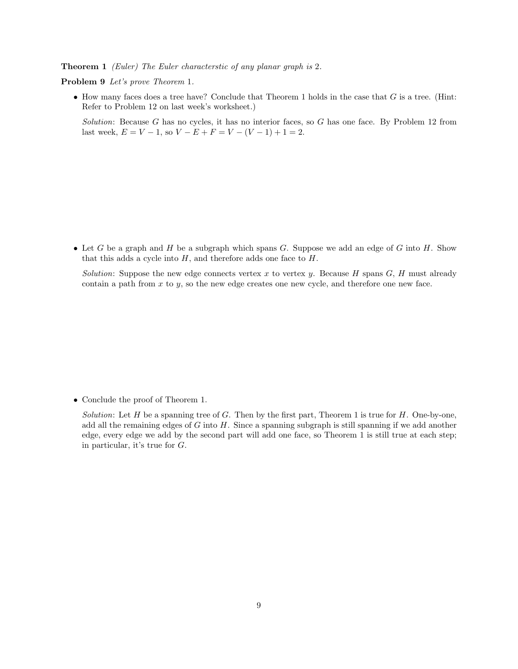Theorem 1 (Euler) The Euler characterstic of any planar graph is 2.

Problem 9 Let's prove Theorem 1.

 $\bullet$  How many faces does a tree have? Conclude that Theorem 1 holds in the case that G is a tree. (Hint: Refer to Problem 12 on last week's worksheet.)

Solution: Because G has no cycles, it has no interior faces, so G has one face. By Problem 12 from last week,  $E = V - 1$ , so  $V - E + F = V - (V - 1) + 1 = 2$ .

• Let G be a graph and H be a subgraph which spans G. Suppose we add an edge of G into H. Show that this adds a cycle into  $H$ , and therefore adds one face to  $H$ .

Solution: Suppose the new edge connects vertex x to vertex y. Because H spans  $G, H$  must already contain a path from  $x$  to  $y$ , so the new edge creates one new cycle, and therefore one new face.

• Conclude the proof of Theorem 1.

Solution: Let H be a spanning tree of G. Then by the first part, Theorem 1 is true for H. One-by-one, add all the remaining edges of  $G$  into  $H$ . Since a spanning subgraph is still spanning if we add another edge, every edge we add by the second part will add one face, so Theorem 1 is still true at each step; in particular, it's true for G.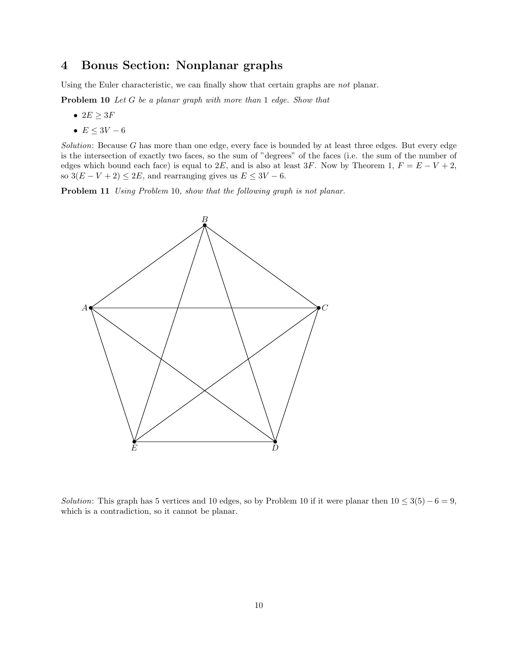## 4 Bonus Section: Nonplanar graphs

Using the Euler characteristic, we can finally show that certain graphs are not planar.

Problem 10 Let G be a planar graph with more than 1 edge. Show that

- $2E \geq 3F$
- $E \leq 3V 6$

Solution: Because  $G$  has more than one edge, every face is bounded by at least three edges. But every edge is the intersection of exactly two faces, so the sum of "degrees" of the faces (i.e. the sum of the number of edges which bound each face) is equal to 2E, and is also at least 3F. Now by Theorem 1,  $F = E - V + 2$ , so  $3(E - V + 2) \le 2E$ , and rearranging gives us  $E \le 3V - 6$ .

Problem 11 Using Problem 10, show that the following graph is not planar.



Solution: This graph has 5 vertices and 10 edges, so by Problem 10 if it were planar then  $10 \leq 3(5) - 6 = 9$ , which is a contradiction, so it cannot be planar.